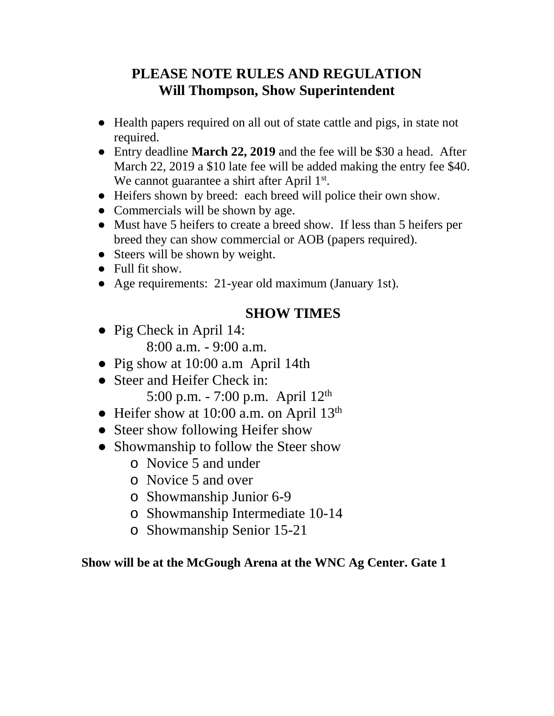# **PLEASE NOTE RULES AND REGULATION Will Thompson, Show Superintendent**

- Health papers required on all out of state cattle and pigs, in state not required.
- Entry deadline **March 22, 2019** and the fee will be \$30 a head. After March 22, 2019 a \$10 late fee will be added making the entry fee \$40. We cannot guarantee a shirt after April 1<sup>st</sup>.
- Heifers shown by breed: each breed will police their own show.
- Commercials will be shown by age.
- Must have 5 heifers to create a breed show. If less than 5 heifers per breed they can show commercial or AOB (papers required).
- Steers will be shown by weight.
- Full fit show.
- Age requirements: 21-year old maximum (January 1st).

# **SHOW TIMES**

- Pig Check in April 14: 8:00 a.m. - 9:00 a.m.
- Pig show at 10:00 a.m April 14th
- Steer and Heifer Check in: 5:00 p.m. - 7:00 p.m. April 12<sup>th</sup>
- Heifer show at 10:00 a.m. on April 13<sup>th</sup>
- Steer show following Heifer show
- Showmanship to follow the Steer show
	- o Novice 5 and under
	- o Novice 5 and over
	- o Showmanship Junior 6-9
	- o Showmanship Intermediate 10-14
	- o Showmanship Senior 15-21

#### **Show will be at the McGough Arena at the WNC Ag Center. Gate 1**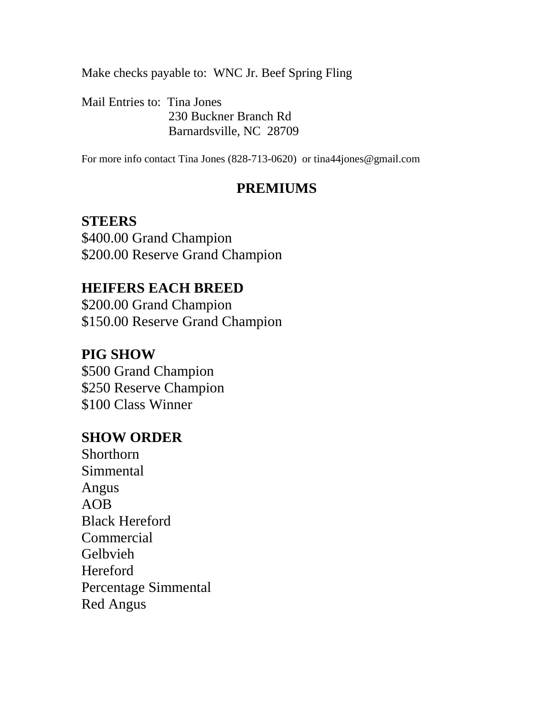Make checks payable to: WNC Jr. Beef Spring Fling

Mail Entries to: Tina Jones 230 Buckner Branch Rd Barnardsville, NC 28709

For more info contact Tina Jones (828-713-0620) or tina44jones@gmail.com

### **PREMIUMS**

#### **STEERS**

\$400.00 Grand Champion \$200.00 Reserve Grand Champion

#### **HEIFERS EACH BREED**

\$200.00 Grand Champion \$150.00 Reserve Grand Champion

### **PIG SHOW**

\$500 Grand Champion \$250 Reserve Champion \$100 Class Winner

#### **SHOW ORDER**

Shorthorn Simmental Angus AOB Black Hereford Commercial Gelbvieh Hereford Percentage Simmental Red Angus